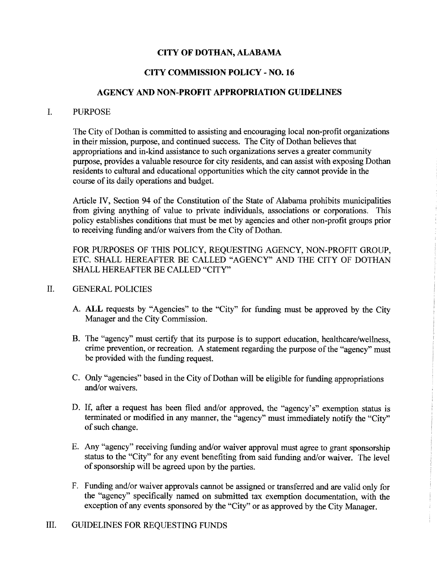## CITY OF DOTHAN, ALABAMA

# CITY COMMISSION POLICY - NO. 16

### AGENCY AND NON-PROFIT APPROPRIATION GUIDELINES

#### I. PURPOSE

The City of Dothan is committed to assisting and encouraging local non-profit organizations in their mission, purpose, and continued success. The City of Dothan believes that appropriations and in-kind assistance to such organizations serves a greater community purpose, provides a valuable resource for city residents, and can assist with exposing Dothan residents to cultural and educational opportunities which the city cannot provide in the course of its daily operations and budget.

Article IV, Section 94 of the Constitution of the State of Alabama prohibits municipalities from giving anything of value to private individuals, associations or corporations. This policy establishes conditions that must be met by agencies and other non-profit groups prior to receiving funding and/or waivers from the City of Dothan.

FOR PURPOSES OF THIS POLICY, REQUESTING AGENCY, NON-PROFIT GROUP, ETC. SHALL HEREAFTER BE CALLED "AGENCY" AND THE CITY OF DOTHAN SHALL HEREAFTER BE CALLED "CITY"

#### II. GENERAL POLICIES

- A. ALL requests by "Agencies" to the "City" for funding must be approved by the City Manager and the City Commission.
- B. The "agency" must certify that its purpose is to support education, healthcare/wellness, crime prevention, or recreation. A statement regarding the purpose of the "agency" must be provided with the funding request.
- C. Only "agencies" based in the City of Dothan will be eligible for funding appropriations and/or waivers.
- D. If, after a request has been filed and/or approved, the "agency's" exemption status is terminated or modified in any manner, the "agency" must immediately notify the "City" of such change.
- E. Any "agency" receiving funding and/or waiver approval must agree to grant sponsorship status to the "City" for any event benefiting from said funding and/or waiver. The level of sponsorship will be agreed upon by the parties.
- F. Funding and/or waiver approvals cannot be assigned or transferred and are valid only for the "agency" specifically named on submitted tax exemption documentation, with the exception of any events sponsored by the "City" or as approved by the City Manager.

## III. GUIDELINES FOR REQUESTING FUNDS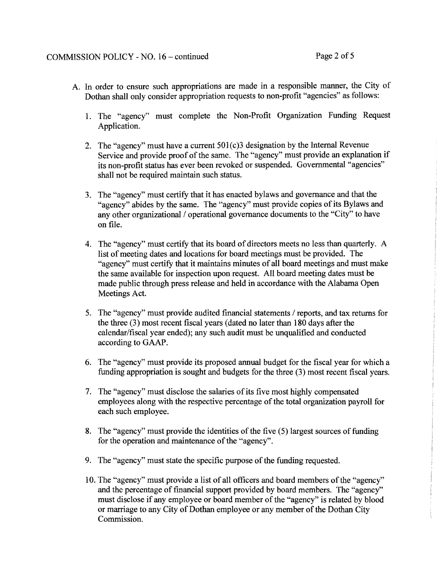- A. In order to ensure such appropriations are made in a responsible manner, the City of Dothan shall only consider appropriation requests to non-profit "agencies" as follows:
	- 1. The "agency" must complete the Non-Profit Organization Funding Request Application.
	- 2. The "agency" must have a current  $501(c)3$  designation by the Internal Revenue Service and provide proof of the same. The "agency" must provide an explanation if its non-profit status has ever been revoked or suspended. Governmental "agencies" shall not be required maintain such status.
	- 3. The "agency" must certify that it has enacted bylaws and governance and that the "agency" abides by the same. The "agency" must provide copies of its Bylaws and any other organizational / operational governance documents to the "City" to have on file.
	- 4. The "agency" must certify that its board of directors meets no less than quarterly. A list of meeting dates and locations for board meetings must be provided. The "agency" must certify that it maintains minutes of all board meetings and must make the same available for inspection upon request. All board meeting dates must be made public through press release and held in accordance with the Alabama Open Meetings Act.
	- S. The "agency" must provide audited financial statements / reports, and tax returns for the three (3) most recent fiscal years (dated no later than 180 days after the calendar/fiscal year ended); any such audit must be unqualified and conducted according to GAAP.
	- 6. The "agency" must provide its proposed annual budget for the fiscal year for which a funding appropriation is sought and budgets for the three (3) most recent fiscal years.
	- 7. The "agency" must disclose the salaries of its five most highly compensated employees along with the respective percentage of the total organization payroll for each such employee.
	- 8. The "agency" must provide the identities of the five  $(5)$  largest sources of funding for the operation and maintenance of the "agency".
	- 9. The "agency" must state the specific purpose of the funding requested.
	- 10. The "agency" must provide a list of all officers and board members of the "agency" and the percentage of financial support provided by board members. The "agency" must disclose if any employee or board member of the "agency" is related by blood or marriage to any City of Dothan employee or any member of the Dothan City Commission.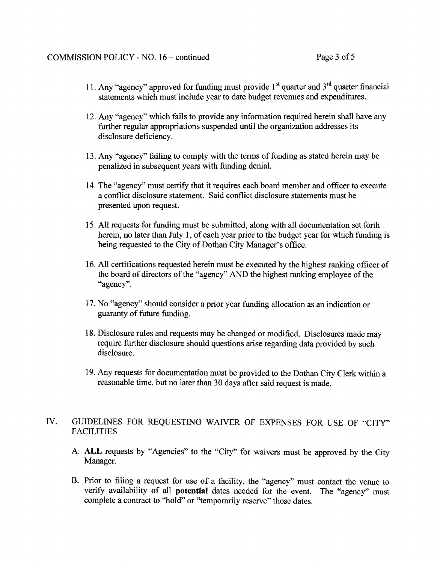- 11. Any "agency" approved for funding must provide  $1<sup>st</sup>$  quarter and  $3<sup>rd</sup>$  quarter financial statements which must include year to date budget revenues and expenditures.
- 12. Any "agency" which fails to provide any information required herein shall have any further regular appropriations suspended until the organization addresses its disclosure deficiency.
- 13. Any "agency" failing to comply with the terms of funding as stated herein may be penalized in subsequent years with funding denial.
- 14. The "agency" must certify that it requires each board member and officer to execute a conflict disclosure statement. Said conflict disclosure statements must be presented upon request.
- 15. All requests for funding must be submitted, along with all documentation set forth herein, no later than July 1, of each year prior to the budget year for which funding is being requested to the City of Dothan City Manager's office.
- 16. All certifications requested herein must be executed by the highest ranking officer of the board of directors of the "agency" AND the highest ranking employee of the "agency".
- 17. No "agency" should consider a prior year funding allocation as an indication or guaranty of future funding.
- 18. Disclosure rules and requests may be changed or modified. Disclosures made may require further disclosure should questions arise regarding data provided by such disclosure.
- 19. Any requests for documentation must be provided to the Dothan City Clerk within a reasonable time, but no later than 30 days after said request is made.

### IV. GUIDELINES FOR REQUESTING WAIVER OF EXPENSES FOR USE OF "CITY" FACILITIES

- A. **ALL** requests by "Agencies" to the "City" for waivers must be approved by the City Manager.
- B. Prior to filing a request for use of a facility, the "agency" must contact the venue to verify availability of all **potential** dates needed for the event. The "agency" must complete a contract to "hold" or "temporarily reserve" those dates.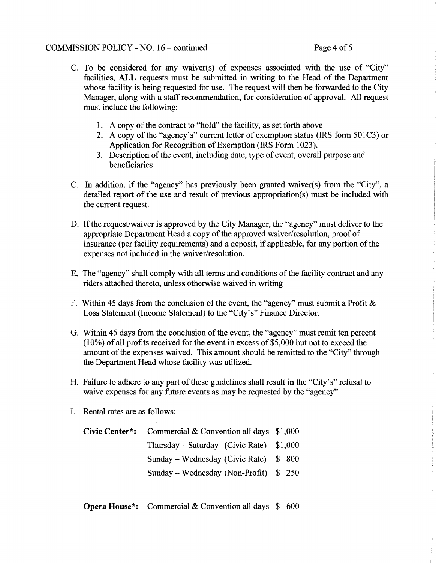#### COMMISSION POLICY - NO. 16 – continued Page 4 of 5

- C. To be considered for any waiver(s) of expenses associated with the use of "City" facilities, ALL requests must be submitted in writing to the Head of the Department whose facility is being requested for use. The request will then be forwarded to the City Manager, along with a staff recommendation, for consideration of approval. All request must include the following:
	- 1. A copy of the contract to "hold" the facility, as set forth above
	- 2. A copy of the "agency's" current letter of exemption status (IRS form 501C3) or Application for Recognition of Exemption (IRS Form 1023).
	- 3. Description of the event, including date, type of event, overall purpose and beneficiaries
- C. In addition, if the "agency" has previously been granted waiver(s) from the "City", a detailed report of the use and result of previous appropriation(s) must be included with the current request.
- D. If the request/waiver is approved by the City Manager, the "agency" must deliver to the appropriate Department Head a copy of the approved waiver/resolution, proof of insurance (per facility requirements) and a deposit, if applicable, for any portion of the expenses not included in the waiver/resolution.
- E. The "agency" shall comply with all terms and conditions of the facility contract and any riders attached thereto, unless otherwise waived in writing
- F. Within 45 days from the conclusion of the event, the "agency" must submit a Profit  $\&$ Loss Statement (Income Statement) to the "City's" Finance Director.
- G. Within 45 days from the conclusion of the event, the "agency" must remit ten percent (10%) of all profits received for the event in excess of \$5,000 but not to exceed the amount of the expenses waived. This amount should be remitted to the "City" through the Department Head whose facility was utilized.
- H. Failure to adhere to any part of these guidelines shall result in the "City's" refusal to waive expenses for any future events as may be requested by the "agency".
- I. Rental rates are as follows:

| <b>Civic Center*:</b> Commercial & Convention all days $$1,000$ |  |  |
|-----------------------------------------------------------------|--|--|
| Thursday – Saturday (Civic Rate) $$1,000$                       |  |  |
| Sunday – Wednesday (Civic Rate) $$800$                          |  |  |
| Sunday – Wednesday (Non-Profit) $$250$                          |  |  |

**Opera House\*:** Commercial & Convention all days \$ 600